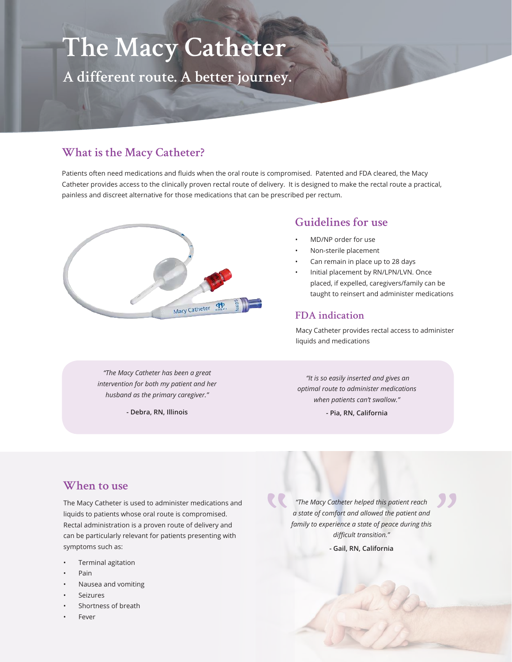# **The Macy Catheter**

**A different route. A better journey.**

## **What is the Macy Catheter?**

Patients often need medications and fluids when the oral route is compromised. Patented and FDA cleared, the Macy Catheter provides access to the clinically proven rectal route of delivery. It is designed to make the rectal route a practical, painless and discreet alternative for those medications that can be prescribed per rectum.



#### **Guidelines for use**

- MD/NP order for use
- Non-sterile placement
- Can remain in place up to 28 days
- Initial placement by RN/LPN/LVN. Once placed, if expelled, caregivers/family can be taught to reinsert and administer medications

#### **FDA indication**

Macy Catheter provides rectal access to administer liquids and medications

*"The Macy Catheter has been a great intervention for both my patient and her husband as the primary caregiver."*

**- Debra, RN, Illinois**

 *"It is so easily inserted and gives an optimal route to administer medications when patients can't swallow."* 

**- Pia, RN, California**

#### **When to use**

The Macy Catheter is used to administer medications and liquids to patients whose oral route is compromised. Rectal administration is a proven route of delivery and can be particularly relevant for patients presenting with symptoms such as:

- Terminal agitation
- Pain
- Nausea and vomiting
- **Seizures**
- Shortness of breath
- **Fever**

*"The Macy Catheter helped this patient reach a state of comfort and allowed the patient and family to experience a state of peace during this difficult transition."* 

**- Gail, RN, California**